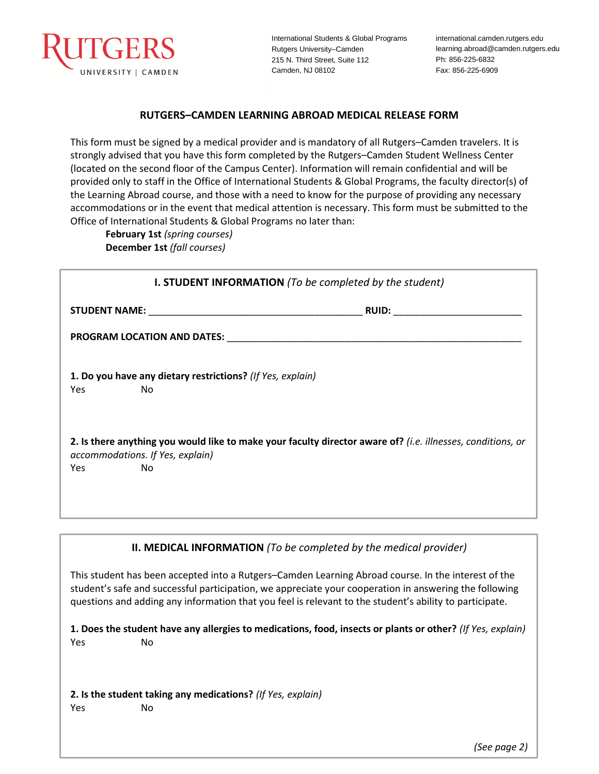

International Students & Global Programs Rutgers University–Camden 215 N. Third Street, Suite 112 Camden, NJ 08102

international.camden.rutgers.edu learning.abroad@camden.rutgers.edu Ph: 856-225-6832 Fax: 856-225-6909

## **RUTGERS–CAMDEN LEARNING ABROAD MEDICAL RELEASE FORM**

This form must be signed by a medical provider and is mandatory of all Rutgers–Camden travelers. It is strongly advised that you have this form completed by the Rutgers–Camden Student Wellness Center (located on the second floor of the Campus Center). Information will remain confidential and will be provided only to staff in the Office of International Students & Global Programs, the faculty director(s) of the Learning Abroad course, and those with a need to know for the purpose of providing any necessary accommodations or in the event that medical attention is necessary. This form must be submitted to the Office of International Students & Global Programs no later than:

**February 1st** *(spring courses)* **December 1st** *(fall courses)*

| <b>I. STUDENT INFORMATION</b> (To be completed by the student) |                                                                                                                                                              |  |  |
|----------------------------------------------------------------|--------------------------------------------------------------------------------------------------------------------------------------------------------------|--|--|
|                                                                | RUID: Andrea and a series of the series of the series of the series of the series of the series of the series                                                |  |  |
|                                                                |                                                                                                                                                              |  |  |
| Yes                                                            | 1. Do you have any dietary restrictions? (If Yes, explain)<br>No.                                                                                            |  |  |
| Yes.                                                           | 2. Is there anything you would like to make your faculty director aware of? (i.e. illnesses, conditions, or<br>accommodations. If Yes, explain)<br><b>No</b> |  |  |

**II. MEDICAL INFORMATION** *(To be completed by the medical provider)*

This student has been accepted into a Rutgers–Camden Learning Abroad course. In the interest of the student's safe and successful participation, we appreciate your cooperation in answering the following questions and adding any information that you feel is relevant to the student's ability to participate.

**1. Does the student have any allergies to medications, food, insects or plants or other?** *(If Yes, explain)* Yes No

**2. Is the student taking any medications?** *(If Yes, explain)* Yes No

*(See page 2)*